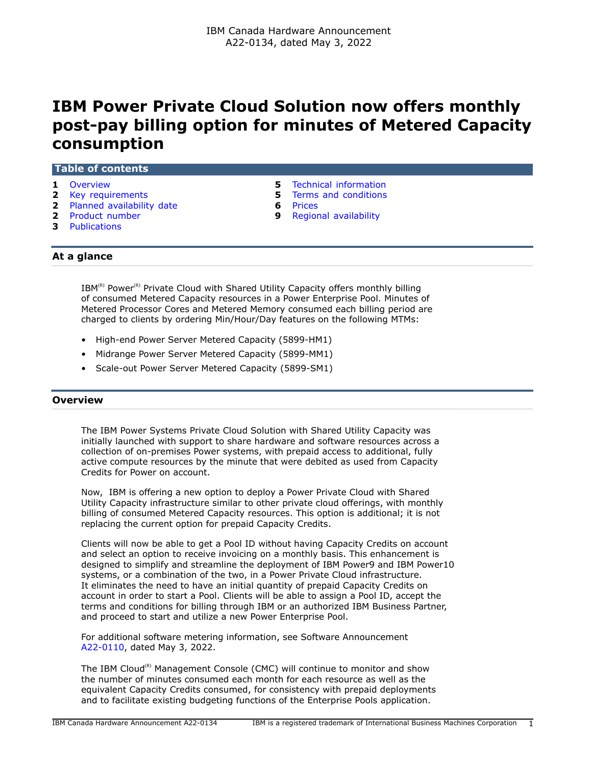# **IBM Power Private Cloud Solution now offers monthly post-pay billing option for minutes of Metered Capacity consumption**

|  | <b>Table of contents</b> |  |
|--|--------------------------|--|
|  |                          |  |

- 
- **2** [Key requirements](#page-1-0) **5** [Terms and conditions](#page-4-1)
- **2** [Planned availability date](#page-1-1) **6** [Prices](#page-5-0)
- 
- **3** [Publications](#page-2-0)
- **1** [Overview](#page-0-0) **5** [Technical information](#page-4-0)
	-
	-
- **2** [Product number](#page-1-2) **9** [Regional availability](#page-8-0)

# **At a glance**

 $IBM^{(R)}$  Power<sup>(R)</sup> Private Cloud with Shared Utility Capacity offers monthly billing of consumed Metered Capacity resources in a Power Enterprise Pool. Minutes of Metered Processor Cores and Metered Memory consumed each billing period are charged to clients by ordering Min/Hour/Day features on the following MTMs:

- High-end Power Server Metered Capacity (5899-HM1)
- Midrange Power Server Metered Capacity (5899-MM1)
- Scale-out Power Server Metered Capacity (5899-SM1)

# <span id="page-0-0"></span>**Overview**

The IBM Power Systems Private Cloud Solution with Shared Utility Capacity was initially launched with support to share hardware and software resources across a collection of on-premises Power systems, with prepaid access to additional, fully active compute resources by the minute that were debited as used from Capacity Credits for Power on account.

Now, IBM is offering a new option to deploy a Power Private Cloud with Shared Utility Capacity infrastructure similar to other private cloud offerings, with monthly billing of consumed Metered Capacity resources. This option is additional; it is not replacing the current option for prepaid Capacity Credits.

Clients will now be able to get a Pool ID without having Capacity Credits on account and select an option to receive invoicing on a monthly basis. This enhancement is designed to simplify and streamline the deployment of IBM Power9 and IBM Power10 systems, or a combination of the two, in a Power Private Cloud infrastructure. It eliminates the need to have an initial quantity of prepaid Capacity Credits on account in order to start a Pool. Clients will be able to assign a Pool ID, accept the terms and conditions for billing through IBM or an authorized IBM Business Partner, and proceed to start and utilize a new Power Enterprise Pool.

For additional software metering information, see Software Announcement [A22-0110,](http://www.ibm.com/common/ssi/cgi-bin/ssialias?infotype=an&subtype=ca&appname=gpateam&supplier=649&letternum=ENUSA22-0110) dated May 3, 2022.

The IBM Cloud<sup>(R)</sup> Management Console (CMC) will continue to monitor and show the number of minutes consumed each month for each resource as well as the equivalent Capacity Credits consumed, for consistency with prepaid deployments and to facilitate existing budgeting functions of the Enterprise Pools application.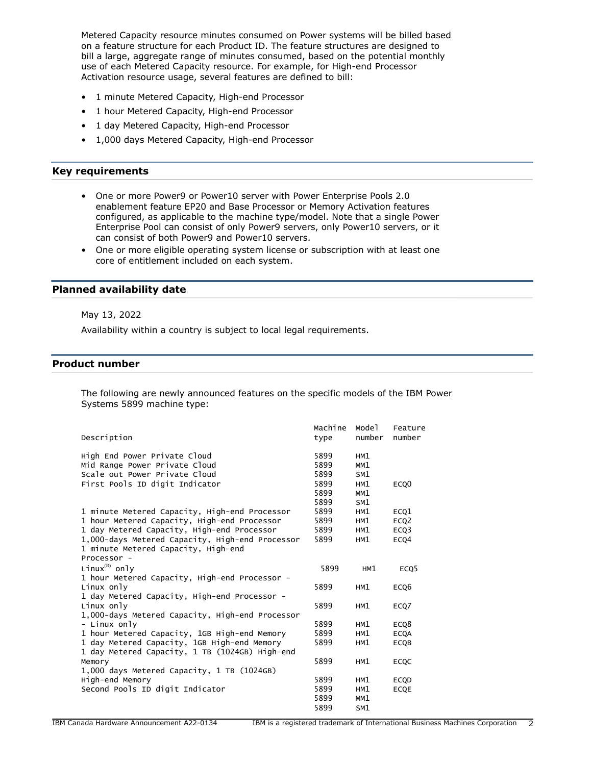Metered Capacity resource minutes consumed on Power systems will be billed based on a feature structure for each Product ID. The feature structures are designed to bill a large, aggregate range of minutes consumed, based on the potential monthly use of each Metered Capacity resource. For example, for High-end Processor Activation resource usage, several features are defined to bill:

- 1 minute Metered Capacity, High-end Processor
- 1 hour Metered Capacity, High-end Processor
- 1 day Metered Capacity, High-end Processor
- 1,000 days Metered Capacity, High-end Processor

## <span id="page-1-0"></span>**Key requirements**

- One or more Power9 or Power10 server with Power Enterprise Pools 2.0 enablement feature EP20 and Base Processor or Memory Activation features configured, as applicable to the machine type/model. Note that a single Power Enterprise Pool can consist of only Power9 servers, only Power10 servers, or it can consist of both Power9 and Power10 servers.
- One or more eligible operating system license or subscription with at least one core of entitlement included on each system.

## <span id="page-1-1"></span>**Planned availability date**

#### May 13, 2022

Availability within a country is subject to local legal requirements.

# <span id="page-1-2"></span>**Product number**

The following are newly announced features on the specific models of the IBM Power Systems 5899 machine type:

| Description                                                                                           | Machine<br>type      | Model<br>number   | Feature<br>number |
|-------------------------------------------------------------------------------------------------------|----------------------|-------------------|-------------------|
| High End Power Private Cloud<br>Mid Range Power Private Cloud<br>Scale out Power Private Cloud        | 5899<br>5899<br>5899 | HM1<br>MM1<br>SM1 |                   |
| First Pools ID digit Indicator                                                                        | 5899<br>5899<br>5899 | HM1<br>MM1<br>SM1 | ECQ <sub>0</sub>  |
| 1 minute Metered Capacity, High-end Processor                                                         | 5899                 | HM1               | ECQ1              |
| 1 hour Metered Capacity, High-end Processor                                                           | 5899                 | HM1               | ECQ <sub>2</sub>  |
| 1 day Metered Capacity, High-end Processor                                                            | 5899                 | HM1               | ECQ3              |
| 1,000-days Metered Capacity, High-end Processor<br>1 minute Metered Capacity, High-end<br>Processor - | 5899                 | HM1               | ECQ4              |
| Linux ${}^{(R)}$ only                                                                                 | 5899                 | HM1               | ECQ <sub>5</sub>  |
| 1 hour Metered Capacity, High-end Processor -                                                         |                      |                   |                   |
| Linux only                                                                                            | 5899                 | HM1               | ECQ6              |
| 1 day Metered Capacity, High-end Processor -                                                          |                      |                   |                   |
| Linux only<br>1,000-days Metered Capacity, High-end Processor                                         | 5899                 | HM1               | ECQ7              |
| - Linux only                                                                                          | 5899                 | HM1               | ECQ8              |
| 1 hour Metered Capacity, 1GB High-end Memory                                                          | 5899                 | HM1               | <b>ECQA</b>       |
| 1 day Metered Capacity, 1GB High-end Memory<br>1 day Metered Capacity, 1 TB (1024GB) High-end         | 5899                 | HM1               | <b>ECQB</b>       |
| Memory                                                                                                | 5899                 | HM1               | <b>ECQC</b>       |
| 1,000 days Metered Capacity, 1 TB (1024GB)                                                            |                      |                   |                   |
| High-end Memory                                                                                       | 5899                 | HM1               | <b>ECQD</b>       |
| Second Pools ID digit Indicator                                                                       | 5899                 | HM1               | <b>ECQE</b>       |
|                                                                                                       | 5899                 | MM1               |                   |
|                                                                                                       | 5899                 | SM1               |                   |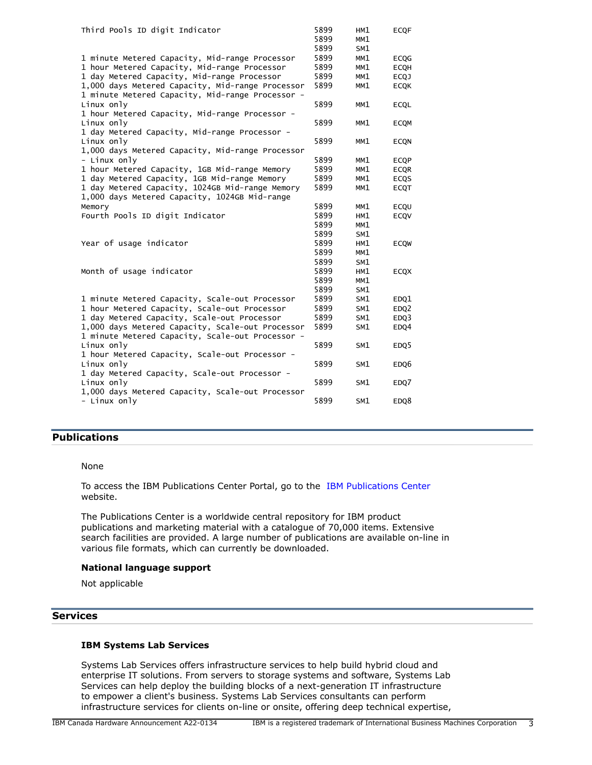| Third Pools ID digit Indicator                   | 5899<br>5899<br>5899 | HM1<br>MM1<br>SM1 | <b>ECQF</b> |
|--------------------------------------------------|----------------------|-------------------|-------------|
| 1 minute Metered Capacity, Mid-range Processor   | 5899                 | MM1               | <b>ECOG</b> |
| 1 hour Metered Capacity, Mid-range Processor     | 5899                 | MM1               | <b>ECOH</b> |
| 1 day Metered Capacity, Mid-range Processor      | 5899                 | MM1               | <b>ECQJ</b> |
| 1,000 days Metered Capacity, Mid-range Processor | 5899                 | MM1               | <b>ECOK</b> |
| 1 minute Metered Capacity, Mid-range Processor - |                      |                   |             |
| Linux only                                       | 5899                 | MM1               | <b>ECOL</b> |
| 1 hour Metered Capacity, Mid-range Processor -   |                      |                   |             |
| Linux only                                       | 5899                 | MM1               | <b>ECOM</b> |
| 1 day Metered Capacity, Mid-range Processor -    |                      |                   |             |
| Linux only                                       | 5899                 | MM1               | <b>ECQN</b> |
| 1,000 days Metered Capacity, Mid-range Processor |                      |                   |             |
| - Linux only                                     | 5899                 | MM1               | <b>ECQP</b> |
| 1 hour Metered Capacity, 1GB Mid-range Memory    | 5899                 | MM1               | <b>ECQR</b> |
| 1 day Metered Capacity, 1GB Mid-range Memory     | 5899                 | MM1               | <b>ECOS</b> |
| 1 day Metered Capacity, 1024GB Mid-range Memory  | 5899                 | MM1               | <b>ECQT</b> |
| 1,000 days Metered Capacity, 1024GB Mid-range    |                      |                   |             |
| Memory                                           | 5899                 | MM1               | ECQU        |
| Fourth Pools ID digit Indicator                  | 5899                 | HM1               | ECOV        |
|                                                  | 5899                 | MM1               |             |
|                                                  | 5899                 |                   |             |
|                                                  |                      | SM1               |             |
| Year of usage indicator                          | 5899                 | HM1               | <b>ECOW</b> |
|                                                  | 5899                 | MM1               |             |
|                                                  | 5899                 | SM1               |             |
| Month of usage indicator                         | 5899                 | HM1               | <b>ECQX</b> |
|                                                  | 5899                 | MM1               |             |
|                                                  | 5899                 | SM1               |             |
| 1 minute Metered Capacity, Scale-out Processor   | 5899                 | SM1               | EDQ1        |
| 1 hour Metered Capacity, Scale-out Processor     | 5899                 | SM1               | EDQ2        |
| 1 day Metered Capacity, Scale-out Processor      | 5899                 | SM1               | EDQ3        |
| 1,000 days Metered Capacity, Scale-out Processor | 5899                 | SM1               | EDQ4        |
| 1 minute Metered Capacity, Scale-out Processor - |                      |                   |             |
| Linux only                                       | 5899                 | SM1               | EDQ5        |
| 1 hour Metered Capacity, Scale-out Processor -   |                      |                   |             |
| Linux only                                       | 5899                 | SM1               | EDQ6        |
| 1 day Metered Capacity, Scale-out Processor -    |                      |                   |             |
| Linux only                                       | 5899                 | SM1               | EDQ7        |
| 1,000 days Metered Capacity, Scale-out Processor |                      |                   |             |
| - Linux only                                     | 5899                 | SM1               | EDQ8        |

# <span id="page-2-0"></span>**Publications**

#### None

To access the IBM Publications Center Portal, go to the [IBM Publications Center](https://www.ibm.com/resources/publications) website.

The Publications Center is a worldwide central repository for IBM product publications and marketing material with a catalogue of 70,000 items. Extensive search facilities are provided. A large number of publications are available on-line in various file formats, which can currently be downloaded.

#### **National language support**

Not applicable

# **Services**

## **IBM Systems Lab Services**

Systems Lab Services offers infrastructure services to help build hybrid cloud and enterprise IT solutions. From servers to storage systems and software, Systems Lab Services can help deploy the building blocks of a next-generation IT infrastructure to empower a client's business. Systems Lab Services consultants can perform infrastructure services for clients on-line or onsite, offering deep technical expertise,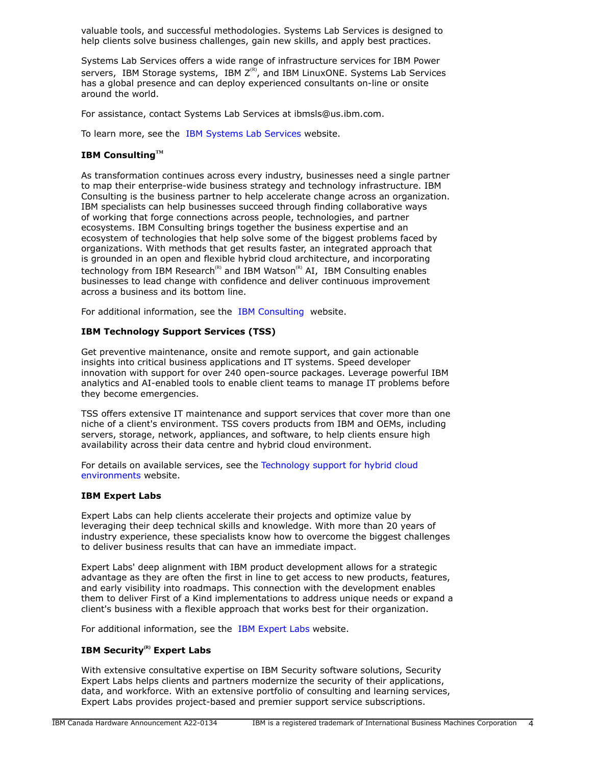valuable tools, and successful methodologies. Systems Lab Services is designed to help clients solve business challenges, gain new skills, and apply best practices.

Systems Lab Services offers a wide range of infrastructure services for IBM Power servers, IBM Storage systems, IBM  $Z^{(R)}$ , and IBM LinuxONE. Systems Lab Services has a global presence and can deploy experienced consultants on-line or onsite around the world.

For assistance, contact Systems Lab Services at ibmsls@us.ibm.com.

To learn more, see the [IBM Systems Lab Services](https://www.ibm.com/it-infrastructure/services/lab-services) website.

# **IBM ConsultingTM**

As transformation continues across every industry, businesses need a single partner to map their enterprise-wide business strategy and technology infrastructure. IBM Consulting is the business partner to help accelerate change across an organization. IBM specialists can help businesses succeed through finding collaborative ways of working that forge connections across people, technologies, and partner ecosystems. IBM Consulting brings together the business expertise and an ecosystem of technologies that help solve some of the biggest problems faced by organizations. With methods that get results faster, an integrated approach that is grounded in an open and flexible hybrid cloud architecture, and incorporating technology from IBM Research<sup>(R)</sup> and IBM Watson<sup>(R)</sup> AI, IBM Consulting enables businesses to lead change with confidence and deliver continuous improvement across a business and its bottom line.

For additional information, see the [IBM Consulting](https://www.ibm.com/consulting) website.

# **IBM Technology Support Services (TSS)**

Get preventive maintenance, onsite and remote support, and gain actionable insights into critical business applications and IT systems. Speed developer innovation with support for over 240 open-source packages. Leverage powerful IBM analytics and AI-enabled tools to enable client teams to manage IT problems before they become emergencies.

TSS offers extensive IT maintenance and support services that cover more than one niche of a client's environment. TSS covers products from IBM and OEMs, including servers, storage, network, appliances, and software, to help clients ensure high availability across their data centre and hybrid cloud environment.

For details on available services, see the [Technology support for hybrid cloud](https://www.ibm.com/services/technology-support) [environments](https://www.ibm.com/services/technology-support) website.

# **IBM Expert Labs**

Expert Labs can help clients accelerate their projects and optimize value by leveraging their deep technical skills and knowledge. With more than 20 years of industry experience, these specialists know how to overcome the biggest challenges to deliver business results that can have an immediate impact.

Expert Labs' deep alignment with IBM product development allows for a strategic advantage as they are often the first in line to get access to new products, features, and early visibility into roadmaps. This connection with the development enables them to deliver First of a Kind implementations to address unique needs or expand a client's business with a flexible approach that works best for their organization.

For additional information, see the [IBM Expert Labs](https://www.ibm.com/products/expertlabs) website.

# **IBM Security(R) Expert Labs**

With extensive consultative expertise on IBM Security software solutions, Security Expert Labs helps clients and partners modernize the security of their applications, data, and workforce. With an extensive portfolio of consulting and learning services, Expert Labs provides project-based and premier support service subscriptions.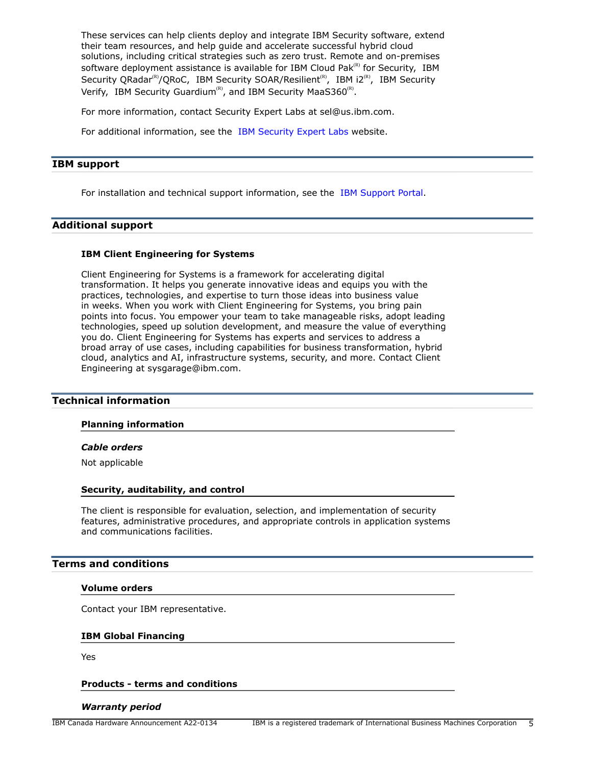These services can help clients deploy and integrate IBM Security software, extend their team resources, and help guide and accelerate successful hybrid cloud solutions, including critical strategies such as zero trust. Remote and on-premises software deployment assistance is available for IBM Cloud Pak $R<sup>(R)</sup>$  for Security, IBM Security QRadar<sup>(R)</sup>/QRoC, IBM Security SOAR/Resilient<sup>(R)</sup>, IBM i2<sup>(R)</sup>, IBM Security Verify, IBM Security Guardium<sup>(R)</sup>, and IBM Security MaaS360<sup>(R)</sup>.

For more information, contact Security Expert Labs at sel@us.ibm.com.

For additional information, see the [IBM Security Expert Labs](https://www.ibm.com/security/security-expert-labs) website.

#### **IBM support**

For installation and technical support information, see the [IBM Support Portal.](https://www.ibm.com/mysupport/s/?language=en_US)

## **Additional support**

#### **IBM Client Engineering for Systems**

Client Engineering for Systems is a framework for accelerating digital transformation. It helps you generate innovative ideas and equips you with the practices, technologies, and expertise to turn those ideas into business value in weeks. When you work with Client Engineering for Systems, you bring pain points into focus. You empower your team to take manageable risks, adopt leading technologies, speed up solution development, and measure the value of everything you do. Client Engineering for Systems has experts and services to address a broad array of use cases, including capabilities for business transformation, hybrid cloud, analytics and AI, infrastructure systems, security, and more. Contact Client Engineering at sysgarage@ibm.com.

#### <span id="page-4-0"></span>**Technical information**

#### **Planning information**

#### *Cable orders*

Not applicable

#### **Security, auditability, and control**

The client is responsible for evaluation, selection, and implementation of security features, administrative procedures, and appropriate controls in application systems and communications facilities.

#### <span id="page-4-1"></span>**Terms and conditions**

#### **Volume orders**

Contact your IBM representative.

#### **IBM Global Financing**

Yes

#### **Products - terms and conditions**

#### *Warranty period*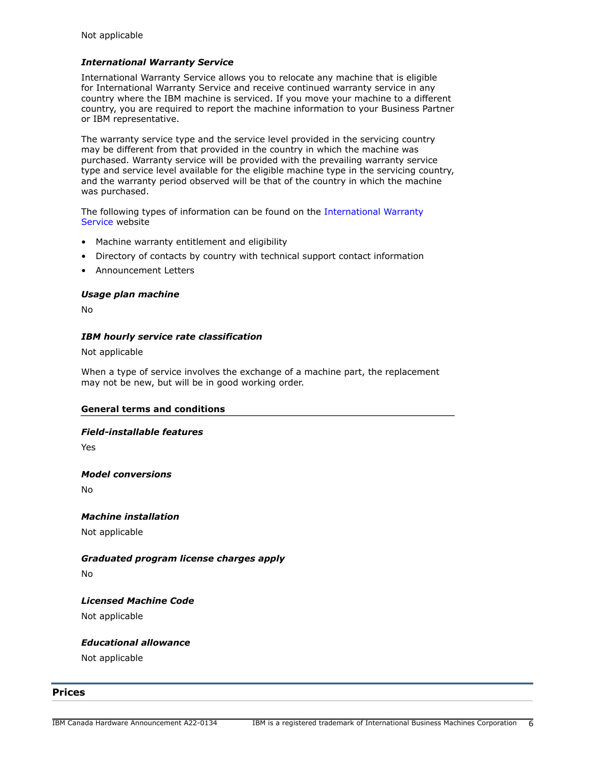# *International Warranty Service*

International Warranty Service allows you to relocate any machine that is eligible for International Warranty Service and receive continued warranty service in any country where the IBM machine is serviced. If you move your machine to a different country, you are required to report the machine information to your Business Partner or IBM representative.

The warranty service type and the service level provided in the servicing country may be different from that provided in the country in which the machine was purchased. Warranty service will be provided with the prevailing warranty service type and service level available for the eligible machine type in the servicing country, and the warranty period observed will be that of the country in which the machine was purchased.

The following types of information can be found on the [International Warranty](https://www.ibm.com/systems/support/machine_warranties/iws.html) [Service](https://www.ibm.com/systems/support/machine_warranties/iws.html) website

- Machine warranty entitlement and eligibility
- Directory of contacts by country with technical support contact information
- Announcement Letters

## *Usage plan machine*

No

## *IBM hourly service rate classification*

Not applicable

When a type of service involves the exchange of a machine part, the replacement may not be new, but will be in good working order.

# **General terms and conditions**

#### *Field-installable features*

Yes

#### *Model conversions*

No

#### *Machine installation*

Not applicable

# *Graduated program license charges apply*

No

# *Licensed Machine Code*

Not applicable

# *Educational allowance*

Not applicable

# <span id="page-5-0"></span>**Prices**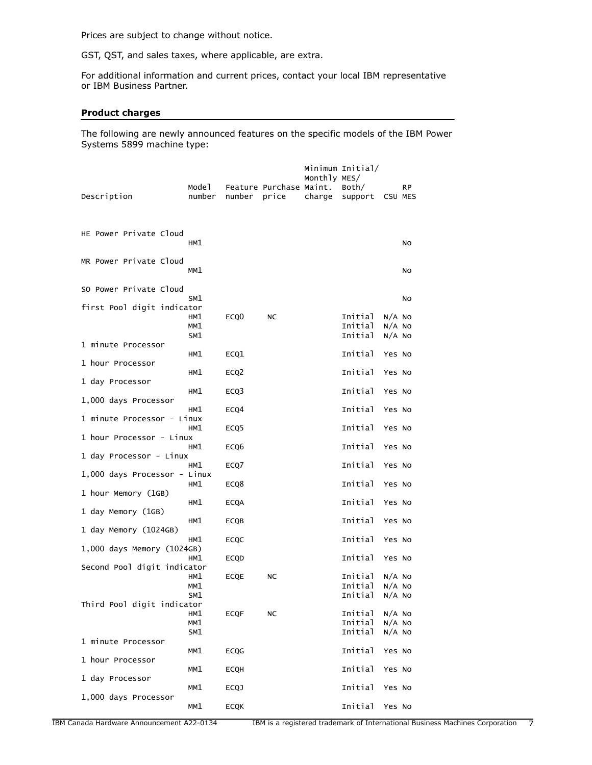Prices are subject to change without notice.

GST, QST, and sales taxes, where applicable, are extra.

For additional information and current prices, contact your local IBM representative or IBM Business Partner.

# **Product charges**

The following are newly announced features on the specific models of the IBM Power Systems 5899 machine type:

| Description                                         | Mode 1<br>number  | number           | Feature Purchase Maint.<br>price | Monthly MES/<br>charge | Minimum Initial/<br>Both/<br>support | CSU MES                          | RP. |
|-----------------------------------------------------|-------------------|------------------|----------------------------------|------------------------|--------------------------------------|----------------------------------|-----|
| HE Power Private Cloud                              | HM1               |                  |                                  |                        |                                      |                                  | NO  |
| MR Power Private Cloud                              | MM1               |                  |                                  |                        |                                      |                                  | No  |
| SO Power Private Cloud                              | SM1               |                  |                                  |                        |                                      |                                  | NO  |
| first Pool digit indicator                          | HM1<br>MM1        | ECQ <sub>0</sub> | NC                               |                        | Initial<br>Initial                   | $N/A$ No<br>$N/A$ No             |     |
| 1 minute Processor                                  | SM1               |                  |                                  |                        | Initial                              | $N/A$ No                         |     |
| 1 hour Processor                                    | HM1               | ECQ1             |                                  |                        | Initial                              | Yes No                           |     |
| 1 day Processor                                     | HM1               | ECQ <sub>2</sub> |                                  |                        | Initial                              | Yes No                           |     |
| 1,000 days Processor                                | HM1<br>HM1        | ECQ3<br>ECQ4     |                                  |                        | Initial<br>Initial                   | Yes No<br>Yes No                 |     |
| 1 minute Processor - Linux                          | HM1               | ECQ <sub>5</sub> |                                  |                        | Initial                              | Yes No                           |     |
| 1 hour Processor - Linux                            | HM1               | ECQ6             |                                  |                        | Initial                              | Yes No                           |     |
| 1 day Processor - Linux                             | HM1               | ECQ7             |                                  |                        | Initial                              | Yes No                           |     |
| 1,000 days Processor - Linux                        | HM1               | ECQ8             |                                  |                        | Initial                              | Yes No                           |     |
| 1 hour Memory (1GB)                                 | HM1               | <b>ECQA</b>      |                                  |                        | Initial                              | Yes No                           |     |
| 1 day Memory (1GB)                                  | HM1               | ECQB             |                                  |                        | Initial                              | Yes No                           |     |
| 1 day Memory (1024GB)<br>1,000 days Memory (1024GB) | HM1               | ECQC             |                                  |                        | Initial                              | Yes No                           |     |
| Second Pool digit indicator                         | HM1               | <b>ECQD</b>      |                                  |                        | Initial                              | Yes No                           |     |
|                                                     | HM1<br>MM1<br>SM1 | ECQE             | NC                               |                        | Initial<br>Initial<br>Initial        | $N/A$ No<br>$N/A$ No<br>$N/A$ NO |     |
| Third Pool digit indicator                          | HM1               | <b>ECQF</b>      | <b>NC</b>                        |                        | Initial                              | $N/A$ NO                         |     |
|                                                     | MM1<br>SM1        |                  |                                  |                        | Initial<br>Initial                   | $N/A$ No<br>$N/A$ No             |     |
| 1 minute Processor                                  | MM1               | <b>ECQG</b>      |                                  |                        | Initial                              | Yes No                           |     |
| 1 hour Processor<br>1 day Processor                 | MM1               | <b>ECOH</b>      |                                  |                        | Initial                              | Yes No                           |     |
| 1,000 days Processor                                | MM1               | <b>ECQJ</b>      |                                  |                        | Initial                              | Yes No                           |     |
|                                                     | MM1               | <b>ECQK</b>      |                                  |                        | Initial                              | Yes No                           |     |

IBM Canada Hardware Announcement A22-0134 IBM is a registered trademark of International Business Machines Corporation 7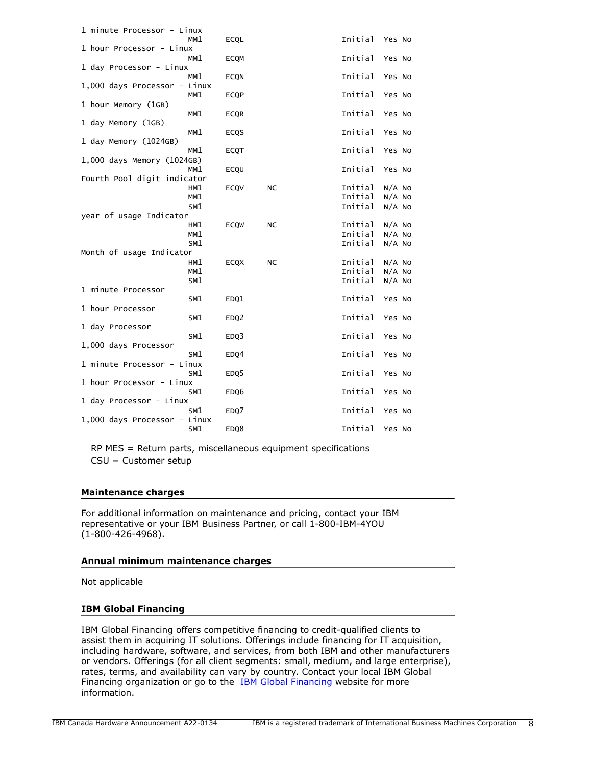| 1 minute Processor - Linux   |            |                  |           |                    |                      |
|------------------------------|------------|------------------|-----------|--------------------|----------------------|
| 1 hour Processor - Linux     | MM1        | <b>ECQL</b>      |           | Initial            | Yes No               |
| 1 day Processor - Linux      | MM1        | <b>ECOM</b>      |           | Initial            | Yes No               |
|                              | MM1        | <b>ECQN</b>      |           | Initial            | Yes No               |
| 1,000 days Processor - Linux | MM1        | <b>ECQP</b>      |           | Initial            | Yes No               |
| 1 hour Memory (1GB)          |            |                  |           |                    |                      |
|                              | MM1        | <b>ECOR</b>      |           | Initial            | Yes No               |
| 1 day Memory (1GB)           | MM1        | ECQS             |           | Initial            | Yes No               |
| 1 day Memory (1024GB)        |            |                  |           |                    |                      |
| 1,000 days Memory (1024GB)   | MM1        | <b>ECQT</b>      |           | Initial            | Yes No               |
|                              | MM1        | ECQU             |           | Initial            | Yes No               |
| Fourth Pool digit indicator  |            |                  |           |                    |                      |
|                              | HM1        | ECQV             | NC        | Initial<br>Initial | $N/A$ No<br>$N/A$ NO |
|                              | MM1<br>SM1 |                  |           | Initial            | $N/A$ NO             |
| year of usage Indicator      |            |                  |           |                    |                      |
|                              | HM1        | <b>ECOW</b>      | <b>NC</b> | Initial            | N/A NO               |
|                              | MM1        |                  |           | Initial            | N/A NO               |
|                              | SM1        |                  |           | Initial            | $N/A$ No             |
| Month of usage Indicator     |            |                  |           |                    |                      |
|                              | HM1        | <b>ECQX</b>      | NC        | Initial            | $N/A$ No             |
|                              | MM1        |                  |           | Initial<br>Initial | $N/A$ NO             |
| 1 minute Processor           | SM1        |                  |           |                    | $N/A$ NO             |
|                              | SM1        | EDQ1             |           | Initial            | Yes No               |
| 1 hour Processor             |            |                  |           |                    |                      |
|                              | SM1        | EDQ2             |           | Initial            | Yes No               |
| 1 day Processor              |            |                  |           |                    |                      |
| 1,000 days Processor         | SM1        | EDQ3             |           | Initial            | Yes No               |
|                              | SM1        | EDQ4             |           | Initial            | Yes No               |
| 1 minute Processor - Linux   |            |                  |           |                    |                      |
| 1 hour Processor - Linux     | SM1        | EDQ <sub>5</sub> |           | Initial            | Yes No               |
|                              | SM1        | EDQ6             |           | Initial            | Yes No               |
| 1 day Processor - Linux      |            |                  |           |                    |                      |
|                              | SM1        | EDQ7             |           | Initial            | Yes No               |
| 1,000 days Processor - Linux | SM1        | EDQ8             |           | Initial            | Yes No               |
|                              |            |                  |           |                    |                      |

RP MES = Return parts, miscellaneous equipment specifications CSU = Customer setup

# **Maintenance charges**

For additional information on maintenance and pricing, contact your IBM representative or your IBM Business Partner, or call 1-800-IBM-4YOU (1-800-426-4968).

#### **Annual minimum maintenance charges**

Not applicable

# **IBM Global Financing**

IBM Global Financing offers competitive financing to credit-qualified clients to assist them in acquiring IT solutions. Offerings include financing for IT acquisition, including hardware, software, and services, from both IBM and other manufacturers or vendors. Offerings (for all client segments: small, medium, and large enterprise), rates, terms, and availability can vary by country. Contact your local IBM Global Financing organization or go to the [IBM Global Financing](http://www.ibm.com/financing) website for more information.